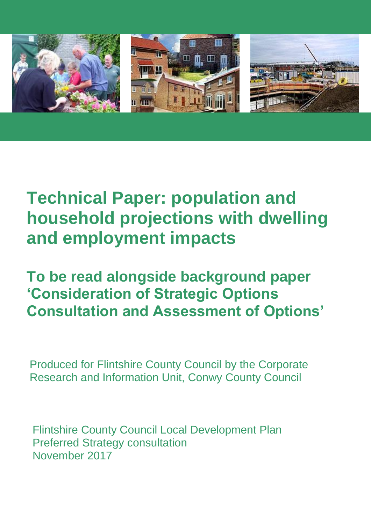

# **Technical Paper: population and household projections with dwelling and employment impacts**

**To be read alongside background paper 'Consideration of Strategic Options Consultation and Assessment of Options'**

Produced for Flintshire County Council by the Corporate Research and Information Unit, Conwy County Council

Flintshire County Council Local Development Plan Preferred Strategy consultation November 2017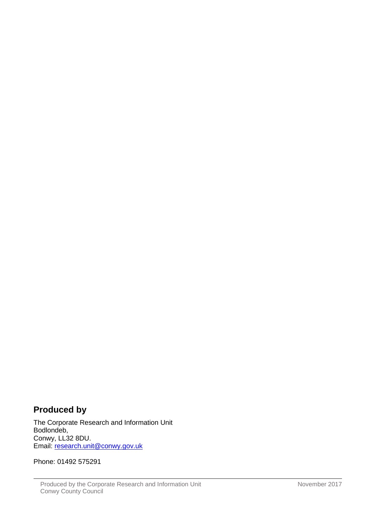# **Produced by**

The Corporate Research and Information Unit Bodlondeb, Conwy, LL32 8DU. Email: [research.unit@conwy.gov.uk](mailto:research.unit@conwy.gov.uk)

Phone: 01492 575291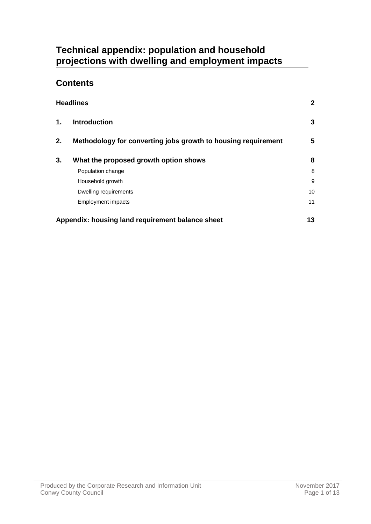# **Technical appendix: population and household projections with dwelling and employment impacts**

# **Contents**

|               | <b>Headlines</b>                                              | $\mathbf{2}$ |
|---------------|---------------------------------------------------------------|--------------|
| $\mathbf 1$ . | <b>Introduction</b>                                           | 3            |
| 2.            | Methodology for converting jobs growth to housing requirement | 5            |
| 3.            | What the proposed growth option shows                         | 8            |
|               | Population change                                             | 8            |
|               | Household growth                                              | 9            |
|               | Dwelling requirements                                         | 10           |
|               | <b>Employment impacts</b>                                     | 11           |
|               | Appendix: housing land requirement balance sheet              | 13           |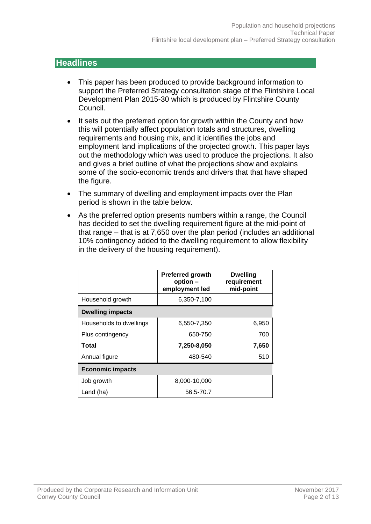# <span id="page-3-0"></span>**Headlines**

- This paper has been produced to provide background information to support the Preferred Strategy consultation stage of the Flintshire Local Development Plan 2015-30 which is produced by Flintshire County Council.
- It sets out the preferred option for growth within the County and how this will potentially affect population totals and structures, dwelling requirements and housing mix, and it identifies the jobs and employment land implications of the projected growth. This paper lays out the methodology which was used to produce the projections. It also and gives a brief outline of what the projections show and explains some of the socio-economic trends and drivers that that have shaped the figure.
- The summary of dwelling and employment impacts over the Plan period is shown in the table below.
- As the preferred option presents numbers within a range, the Council has decided to set the dwelling requirement figure at the mid-point of that range – that is at 7,650 over the plan period (includes an additional 10% contingency added to the dwelling requirement to allow flexibility in the delivery of the housing requirement).

|                         | <b>Preferred growth</b><br>option -<br>employment led | <b>Dwelling</b><br>requirement<br>mid-point |
|-------------------------|-------------------------------------------------------|---------------------------------------------|
| Household growth        | 6,350-7,100                                           |                                             |
| <b>Dwelling impacts</b> |                                                       |                                             |
| Households to dwellings | 6,550-7,350                                           | 6,950                                       |
| Plus contingency        | 650-750                                               | 700                                         |
| <b>Total</b>            | 7,250-8,050                                           | 7,650                                       |
| Annual figure           | 480-540                                               | 510                                         |
| <b>Economic impacts</b> |                                                       |                                             |
| Job growth              | 8,000-10,000                                          |                                             |
| Land (ha)               | 56.5-70.7                                             |                                             |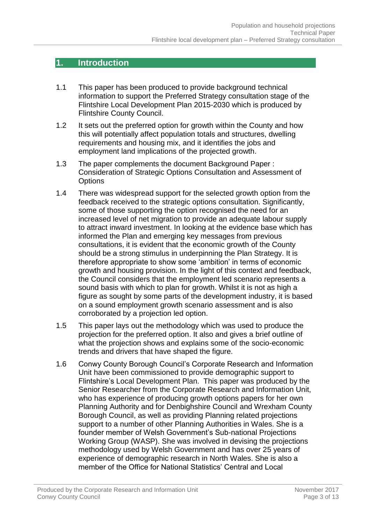## <span id="page-4-0"></span>**1. Introduction**

- 1.1 This paper has been produced to provide background technical information to support the Preferred Strategy consultation stage of the Flintshire Local Development Plan 2015-2030 which is produced by Flintshire County Council.
- 1.2 It sets out the preferred option for growth within the County and how this will potentially affect population totals and structures, dwelling requirements and housing mix, and it identifies the jobs and employment land implications of the projected growth.
- 1.3 The paper complements the document Background Paper : Consideration of Strategic Options Consultation and Assessment of **Options**
- 1.4 There was widespread support for the selected growth option from the feedback received to the strategic options consultation. Significantly, some of those supporting the option recognised the need for an increased level of net migration to provide an adequate labour supply to attract inward investment. In looking at the evidence base which has informed the Plan and emerging key messages from previous consultations, it is evident that the economic growth of the County should be a strong stimulus in underpinning the Plan Strategy. It is therefore appropriate to show some 'ambition' in terms of economic growth and housing provision. In the light of this context and feedback, the Council considers that the employment led scenario represents a sound basis with which to plan for growth. Whilst it is not as high a figure as sought by some parts of the development industry, it is based on a sound employment growth scenario assessment and is also corroborated by a projection led option.
- 1.5 This paper lays out the methodology which was used to produce the projection for the preferred option. It also and gives a brief outline of what the projection shows and explains some of the socio-economic trends and drivers that have shaped the figure.
- 1.6 Conwy County Borough Council's Corporate Research and Information Unit have been commissioned to provide demographic support to Flintshire's Local Development Plan. This paper was produced by the Senior Researcher from the Corporate Research and Information Unit, who has experience of producing growth options papers for her own Planning Authority and for Denbighshire Council and Wrexham County Borough Council, as well as providing Planning related projections support to a number of other Planning Authorities in Wales. She is a founder member of Welsh Government's Sub-national Projections Working Group (WASP). She was involved in devising the projections methodology used by Welsh Government and has over 25 years of experience of demographic research in North Wales. She is also a member of the Office for National Statistics' Central and Local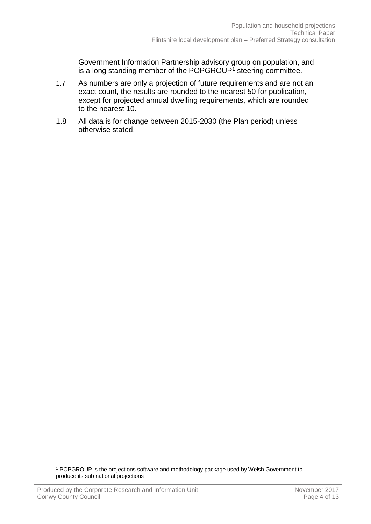Government Information Partnership advisory group on population, and is a long standing member of the POPGROUP<sup>1</sup> steering committee.

- 1.7 As numbers are only a projection of future requirements and are not an exact count, the results are rounded to the nearest 50 for publication, except for projected annual dwelling requirements, which are rounded to the nearest 10.
- 1.8 All data is for change between 2015-2030 (the Plan period) unless otherwise stated.

 $\overline{a}$ <sup>1</sup> POPGROUP is the projections software and methodology package used by Welsh Government to produce its sub national projections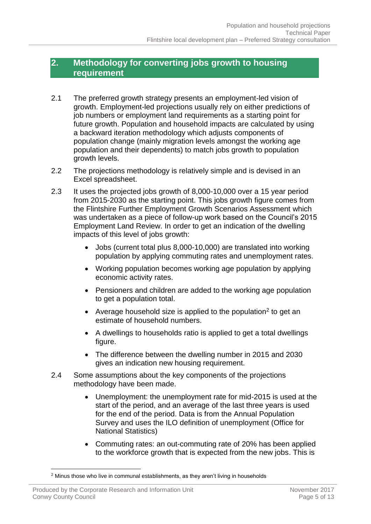## <span id="page-6-0"></span>**2. Methodology for converting jobs growth to housing requirement**

- 2.1 The preferred growth strategy presents an employment-led vision of growth. Employment-led projections usually rely on either predictions of job numbers or employment land requirements as a starting point for future growth. Population and household impacts are calculated by using a backward iteration methodology which adjusts components of population change (mainly migration levels amongst the working age population and their dependents) to match jobs growth to population growth levels.
- 2.2 The projections methodology is relatively simple and is devised in an Excel spreadsheet.
- 2.3 It uses the projected jobs growth of 8,000-10,000 over a 15 year period from 2015-2030 as the starting point. This jobs growth figure comes from the Flintshire Further Employment Growth Scenarios Assessment which was undertaken as a piece of follow-up work based on the Council's 2015 Employment Land Review. In order to get an indication of the dwelling impacts of this level of jobs growth:
	- Jobs (current total plus 8,000-10,000) are translated into working population by applying commuting rates and unemployment rates.
	- Working population becomes working age population by applying economic activity rates.
	- Pensioners and children are added to the working age population to get a population total.
	- Average household size is applied to the population<sup>2</sup> to get an estimate of household numbers.
	- A dwellings to households ratio is applied to get a total dwellings figure.
	- The difference between the dwelling number in 2015 and 2030 gives an indication new housing requirement.
- 2.4 Some assumptions about the key components of the projections methodology have been made.
	- Unemployment: the unemployment rate for mid-2015 is used at the start of the period, and an average of the last three years is used for the end of the period. Data is from the Annual Population Survey and uses the ILO definition of unemployment (Office for National Statistics)
	- Commuting rates: an out-commuting rate of 20% has been applied to the workforce growth that is expected from the new jobs. This is

 $\overline{a}$ <sup>2</sup> Minus those who live in communal establishments, as they aren't living in households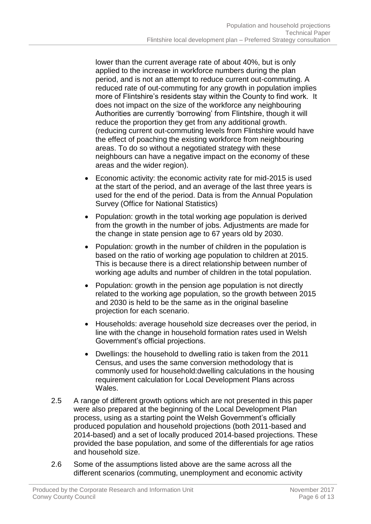lower than the current average rate of about 40%, but is only applied to the increase in workforce numbers during the plan period, and is not an attempt to reduce current out-commuting. A reduced rate of out-commuting for any growth in population implies more of Flintshire's residents stay within the County to find work. It does not impact on the size of the workforce any neighbouring Authorities are currently 'borrowing' from Flintshire, though it will reduce the proportion they get from any additional growth. (reducing current out-commuting levels from Flintshire would have the effect of poaching the existing workforce from neighbouring areas. To do so without a negotiated strategy with these neighbours can have a negative impact on the economy of these areas and the wider region).

- Economic activity: the economic activity rate for mid-2015 is used at the start of the period, and an average of the last three years is used for the end of the period. Data is from the Annual Population Survey (Office for National Statistics)
- Population: growth in the total working age population is derived from the growth in the number of jobs. Adjustments are made for the change in state pension age to 67 years old by 2030.
- Population: growth in the number of children in the population is based on the ratio of working age population to children at 2015. This is because there is a direct relationship between number of working age adults and number of children in the total population.
- Population: growth in the pension age population is not directly related to the working age population, so the growth between 2015 and 2030 is held to be the same as in the original baseline projection for each scenario.
- Households: average household size decreases over the period, in line with the change in household formation rates used in Welsh Government's official projections.
- Dwellings: the household to dwelling ratio is taken from the 2011 Census, and uses the same conversion methodology that is commonly used for household:dwelling calculations in the housing requirement calculation for Local Development Plans across Wales.
- 2.5 A range of different growth options which are not presented in this paper were also prepared at the beginning of the Local Development Plan process, using as a starting point the Welsh Government's officially produced population and household projections (both 2011-based and 2014-based) and a set of locally produced 2014-based projections. These provided the base population, and some of the differentials for age ratios and household size.
- 2.6 Some of the assumptions listed above are the same across all the different scenarios (commuting, unemployment and economic activity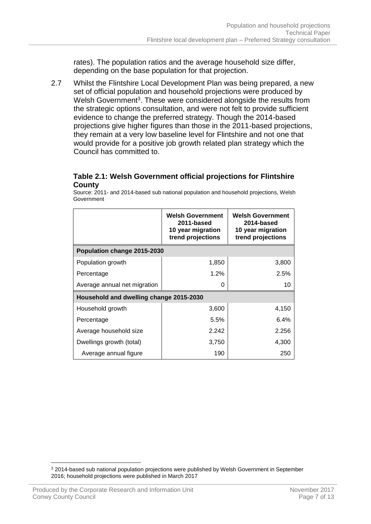rates). The population ratios and the average household size differ, depending on the base population for that projection.

2.7 Whilst the Flintshire Local Development Plan was being prepared, a new set of official population and household projections were produced by Welsh Government<sup>3</sup>. These were considered alongside the results from the strategic options consultation, and were not felt to provide sufficient evidence to change the preferred strategy. Though the 2014-based projections give higher figures than those in the 2011-based projections, they remain at a very low baseline level for Flintshire and not one that would provide for a positive job growth related plan strategy which the Council has committed to.

#### **Table 2.1: Welsh Government official projections for Flintshire County**

Source: 2011- and 2014-based sub national population and household projections, Welsh Government

|                                         | <b>Welsh Government</b><br>2011-based<br>10 year migration<br>trend projections | <b>Welsh Government</b><br>2014-based<br>10 year migration<br>trend projections |  |
|-----------------------------------------|---------------------------------------------------------------------------------|---------------------------------------------------------------------------------|--|
| Population change 2015-2030             |                                                                                 |                                                                                 |  |
| Population growth                       | 1,850                                                                           | 3,800                                                                           |  |
| Percentage                              | 1.2%                                                                            | 2.5%                                                                            |  |
| Average annual net migration            | O                                                                               | 10                                                                              |  |
| Household and dwelling change 2015-2030 |                                                                                 |                                                                                 |  |
| Household growth                        | 3,600                                                                           | 4,150                                                                           |  |
| Percentage                              | 5.5%                                                                            | 6.4%                                                                            |  |
| Average household size                  | 2.242                                                                           | 2.256                                                                           |  |
| Dwellings growth (total)                | 3,750                                                                           | 4,300                                                                           |  |
| Average annual figure                   | 190                                                                             | 250                                                                             |  |

 $\overline{a}$ <sup>3</sup> 2014-based sub national population projections were published by Welsh Government in September 2016; household projections were published in March 2017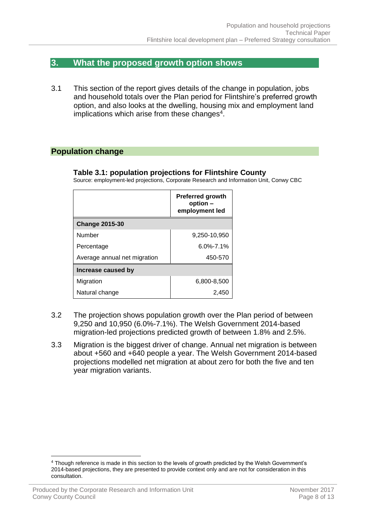## <span id="page-9-0"></span>**3. What the proposed growth option shows**

3.1 This section of the report gives details of the change in population, jobs and household totals over the Plan period for Flintshire's preferred growth option, and also looks at the dwelling, housing mix and employment land implications which arise from these changes $4$ .

#### <span id="page-9-1"></span>**Population change**

#### **Table 3.1: population projections for Flintshire County**

Source: employment-led projections, Corporate Research and Information Unit, Conwy CBC

|                              | <b>Preferred growth</b><br>option -<br>employment led |  |
|------------------------------|-------------------------------------------------------|--|
| <b>Change 2015-30</b>        |                                                       |  |
| Number                       | 9,250-10,950                                          |  |
| Percentage                   | $6.0\% - 7.1\%$                                       |  |
| Average annual net migration | 450-570                                               |  |
| Increase caused by           |                                                       |  |
| Migration                    | 6,800-8,500                                           |  |
| Natural change               | 2,450                                                 |  |

- 3.2 The projection shows population growth over the Plan period of between 9,250 and 10,950 (6.0%-7.1%). The Welsh Government 2014-based migration-led projections predicted growth of between 1.8% and 2.5%.
- 3.3 Migration is the biggest driver of change. Annual net migration is between about +560 and +640 people a year. The Welsh Government 2014-based projections modelled net migration at about zero for both the five and ten year migration variants.

 $\overline{a}$ 

<sup>4</sup> Though reference is made in this section to the levels of growth predicted by the Welsh Government's 2014-based projections, they are presented to provide context only and are not for consideration in this consultation.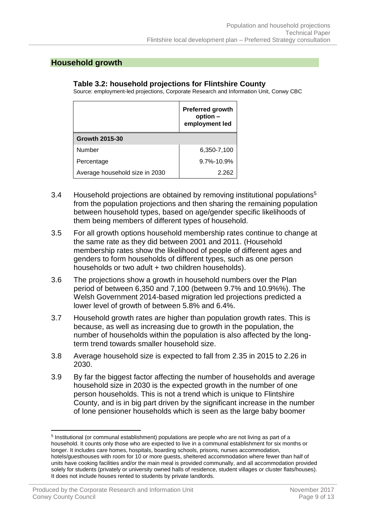#### <span id="page-10-0"></span>**Household growth**

#### **Table 3.2: household projections for Flintshire County**

Source: employment-led projections, Corporate Research and Information Unit, Conwy CBC

|                                | <b>Preferred growth</b><br>option -<br>employment led |
|--------------------------------|-------------------------------------------------------|
| <b>Growth 2015-30</b>          |                                                       |
| Number                         | 6,350-7,100                                           |
| Percentage                     | $9.7\% - 10.9\%$                                      |
| Average household size in 2030 | 2.262                                                 |

- 3.4 Household projections are obtained by removing institutional populations<sup>5</sup> from the population projections and then sharing the remaining population between household types, based on age/gender specific likelihoods of them being members of different types of household.
- 3.5 For all growth options household membership rates continue to change at the same rate as they did between 2001 and 2011. (Household membership rates show the likelihood of people of different ages and genders to form households of different types, such as one person households or two adult + two children households).
- 3.6 The projections show a growth in household numbers over the Plan period of between 6,350 and 7,100 (between 9.7% and 10.9%%). The Welsh Government 2014-based migration led projections predicted a lower level of growth of between 5.8% and 6.4%.
- 3.7 Household growth rates are higher than population growth rates. This is because, as well as increasing due to growth in the population, the number of households within the population is also affected by the longterm trend towards smaller household size.
- 3.8 Average household size is expected to fall from 2.35 in 2015 to 2.26 in 2030.
- 3.9 By far the biggest factor affecting the number of households and average household size in 2030 is the expected growth in the number of one person households. This is not a trend which is unique to Flintshire County, and is in big part driven by the significant increase in the number of lone pensioner households which is seen as the large baby boomer

 $\overline{a}$ 

<sup>&</sup>lt;sup>5</sup> Institutional (or communal establishment) populations are people who are not living as part of a household. It counts only those who are expected to live in a communal establishment for six months or longer. It includes care homes, hospitals, boarding schools, prisons, nurses accommodation, hotels/guesthouses with room for 10 or more guests, sheltered accommodation where fewer than half of units have cooking facilities and/or the main meal is provided communally, and all accommodation provided solely for students (privately or university owned halls of residence, student villages or cluster flats/houses). It does not include houses rented to students by private landlords.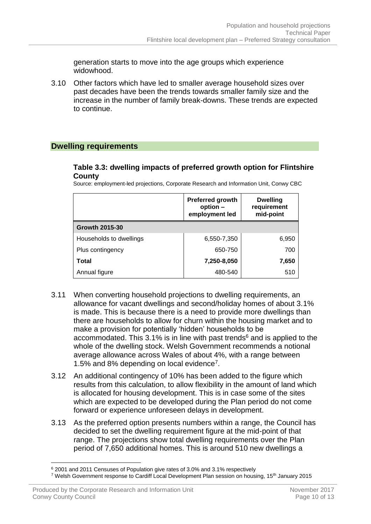generation starts to move into the age groups which experience widowhood.

3.10 Other factors which have led to smaller average household sizes over past decades have been the trends towards smaller family size and the increase in the number of family break-downs. These trends are expected to continue.

#### <span id="page-11-0"></span>**Dwelling requirements**

#### **Table 3.3: dwelling impacts of preferred growth option for Flintshire County**

Source: employment-led projections, Corporate Research and Information Unit, Conwy CBC

|                         | <b>Preferred growth</b><br>option -<br>employment led | <b>Dwelling</b><br>requirement<br>mid-point |
|-------------------------|-------------------------------------------------------|---------------------------------------------|
| <b>Growth 2015-30</b>   |                                                       |                                             |
| Households to dwellings | 6,550-7,350                                           | 6,950                                       |
| Plus contingency        | 650-750                                               | 700                                         |
| Total                   | 7,250-8,050                                           | 7,650                                       |
| Annual figure           | 480-540                                               | 510                                         |

- 3.11 When converting household projections to dwelling requirements, an allowance for vacant dwellings and second/holiday homes of about 3.1% is made. This is because there is a need to provide more dwellings than there are households to allow for churn within the housing market and to make a provision for potentially 'hidden' households to be accommodated. This  $3.1\%$  is in line with past trends<sup>6</sup> and is applied to the whole of the dwelling stock. Welsh Government recommends a notional average allowance across Wales of about 4%, with a range between 1.5% and 8% depending on local evidence<sup>7</sup> .
- 3.12 An additional contingency of 10% has been added to the figure which results from this calculation, to allow flexibility in the amount of land which is allocated for housing development. This is in case some of the sites which are expected to be developed during the Plan period do not come forward or experience unforeseen delays in development.
- 3.13 As the preferred option presents numbers within a range, the Council has decided to set the dwelling requirement figure at the mid-point of that range. The projections show total dwelling requirements over the Plan period of 7,650 additional homes. This is around 510 new dwellings a

 $\overline{a}$ <sup>6</sup> 2001 and 2011 Censuses of Population give rates of 3.0% and 3.1% respectively

<sup>7</sup> Welsh Government response to Cardiff Local Development Plan session on housing, 15th January 2015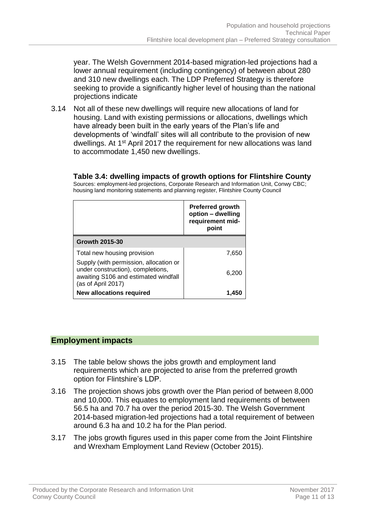year. The Welsh Government 2014-based migration-led projections had a lower annual requirement (including contingency) of between about 280 and 310 new dwellings each. The LDP Preferred Strategy is therefore seeking to provide a significantly higher level of housing than the national projections indicate

3.14 Not all of these new dwellings will require new allocations of land for housing. Land with existing permissions or allocations, dwellings which have already been built in the early years of the Plan's life and developments of 'windfall' sites will all contribute to the provision of new dwellings. At 1<sup>st</sup> April 2017 the requirement for new allocations was land to accommodate 1,450 new dwellings.

**Table 3.4: dwelling impacts of growth options for Flintshire County**

Sources: employment-led projections, Corporate Research and Information Unit, Conwy CBC; housing land monitoring statements and planning register, Flintshire County Council

|                                                                                                                                           | <b>Preferred growth</b><br>option - dwelling<br>requirement mid-<br>point |
|-------------------------------------------------------------------------------------------------------------------------------------------|---------------------------------------------------------------------------|
| <b>Growth 2015-30</b>                                                                                                                     |                                                                           |
| Total new housing provision                                                                                                               | 7,650                                                                     |
| Supply (with permission, allocation or<br>under construction), completions,<br>awaiting S106 and estimated windfall<br>(as of April 2017) | 6.200                                                                     |
| <b>New allocations required</b>                                                                                                           | 1.450                                                                     |

## <span id="page-12-0"></span>**Employment impacts**

- 3.15 The table below shows the jobs growth and employment land requirements which are projected to arise from the preferred growth option for Flintshire's LDP.
- 3.16 The projection shows jobs growth over the Plan period of between 8,000 and 10,000. This equates to employment land requirements of between 56.5 ha and 70.7 ha over the period 2015-30. The Welsh Government 2014-based migration-led projections had a total requirement of between around 6.3 ha and 10.2 ha for the Plan period.
- 3.17 The jobs growth figures used in this paper come from the Joint Flintshire and Wrexham Employment Land Review (October 2015).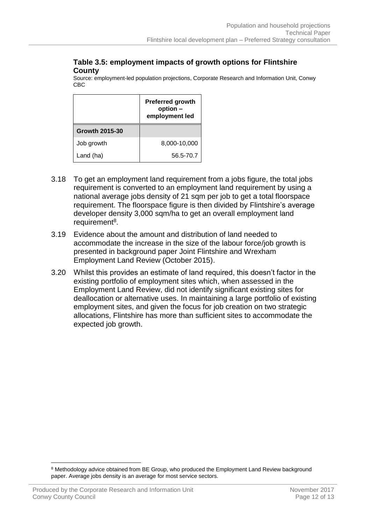#### **Table 3.5: employment impacts of growth options for Flintshire County**

Source: employment-led population projections, Corporate Research and Information Unit, Conwy CBC

|                       | <b>Preferred growth</b><br>option -<br>employment led |
|-----------------------|-------------------------------------------------------|
| <b>Growth 2015-30</b> |                                                       |
| Job growth            | 8,000-10,000                                          |
| Land (ha)             | 56.5-70.7                                             |

- 3.18 To get an employment land requirement from a jobs figure, the total jobs requirement is converted to an employment land requirement by using a national average jobs density of 21 sqm per job to get a total floorspace requirement. The floorspace figure is then divided by Flintshire's average developer density 3,000 sqm/ha to get an overall employment land requirement<sup>8</sup>.
- 3.19 Evidence about the amount and distribution of land needed to accommodate the increase in the size of the labour force/job growth is presented in background paper Joint Flintshire and Wrexham Employment Land Review (October 2015).
- 3.20 Whilst this provides an estimate of land required, this doesn't factor in the existing portfolio of employment sites which, when assessed in the Employment Land Review, did not identify significant existing sites for deallocation or alternative uses. In maintaining a large portfolio of existing employment sites, and given the focus for job creation on two strategic allocations, Flintshire has more than sufficient sites to accommodate the expected job growth.

 $\overline{a}$ <sup>8</sup> Methodology advice obtained from BE Group, who produced the Employment Land Review background paper. Average jobs density is an average for most service sectors.